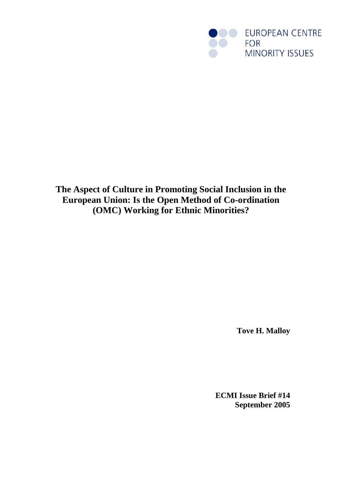

**The Aspect of Culture in Promoting Social Inclusion in the European Union: Is the Open Method of Co-ordination (OMC) Working for Ethnic Minorities?**

**Tove H. Malloy** 

**ECMI Issue Brief #14 September 2005**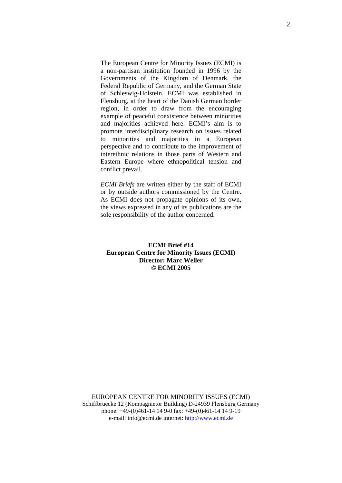The European Centre for Minority Issues (ECMI) is a non-partisan institution founded in 1996 by the Governments of the Kingdom of Denmark, the Federal Republic of Germany, and the German State of Schleswig-Holstein. ECMI was established in Flensburg, at the heart of the Danish German border region, in order to draw from the encouraging example of peaceful coexistence between minorities and majorities achieved here. ECMI's aim is to promote interdisciplinary research on issues related to minorities and majorities in a European perspective and to contribute to the improvement of interethnic relations in those parts of Western and Eastern Europe where ethnopolitical tension and conflict prevail.

*ECMI Briefs* are written either by the staff of ECMI or by outside authors commissioned by the Centre. As ECMI does not propagate opinions of its own, the views expressed in any of its publications are the sole responsibility of the author concerned.

# **ECMI Brief #14 European Centre for Minority Issues (ECMI) Director: Marc Weller © ECMI 2005**

EUROPEAN CENTRE FOR MINORITY ISSUES (ECMI) Schiffbruecke 12 (Kompagnietor Building) D-24939 Flensburg Germany phone: +49-(0)461-14 14 9-0 fax: +49-(0)461-14 14 9-19 e-mail: info@ecmi.de internet: http://www.ecmi.de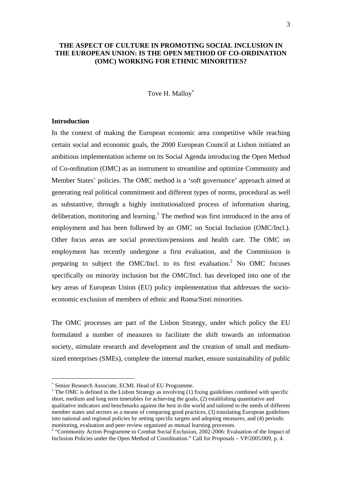# **THE ASPECT OF CULTURE IN PROMOTING SOCIAL INCLUSION IN THE EUROPEAN UNION: IS THE OPEN METHOD OF CO-ORDINATION (OMC) WORKING FOR ETHNIC MINORITIES?**

#### Tove H. Mallov<sup>\*</sup>

#### **Introduction**

1

In the context of making the European economic area competitive while reaching certain social and economic goals, the 2000 European Council at Lisbon initiated an ambitious implementation scheme on its Social Agenda introducing the Open Method of Co-ordination (OMC) as an instrument to streamline and optimize Community and Member States' policies. The OMC method is a 'soft governance' approach aimed at generating real political commitment and different types of norms, procedural as well as substantive, through a highly institutionalized process of information sharing, deliberation, monitoring and learning.<sup>1</sup> The method was first introduced in the area of employment and has been followed by an OMC on Social Inclusion (OMC/Incl.). Other focus areas are social protection/pensions and health care. The OMC on employment has recently undergone a first evaluation, and the Commission is preparing to subject the OMC/Incl. to its first evaluation.<sup>2</sup> No OMC focuses specifically on minority inclusion but the OMC/Incl. has developed into one of the key areas of European Union (EU) policy implementation that addresses the socioeconomic exclusion of members of ethnic and Roma/Sinti minorities.

The OMC processes are part of the Lisbon Strategy, under which policy the EU formulated a number of measures to facilitate the shift towards an information society, stimulate research and development and the creation of small and mediumsized enterprises (SMEs), complete the internal market, ensure sustainability of public

<sup>\*</sup> Senior Research Associate, ECMI. Head of EU Programme.

<sup>&</sup>lt;sup>1</sup> The OMC is defined in the Lisbon Strategy as involving (1) fixing guidelines combined with specific short, medium and long term timetables for achieving the goals, (2) establishing quantitative and qualitative indicators and benchmarks against the best in the world and tailored to the needs of different member states and sectors as a means of comparing good practices, (3) translating European guidelines into national and regional policies by setting specific targets and adopting measures, and (4) periodic monitoring, evaluation and peer review organized as mutual learning processes.

<sup>&</sup>lt;sup>2</sup> "Community Action Programme to Combat Social Exclusion, 2002-2006: Evaluation of the Impact of Inclusion Policies under the Open Method of Coordination." Call for Proposals – VP/2005/009, p. 4.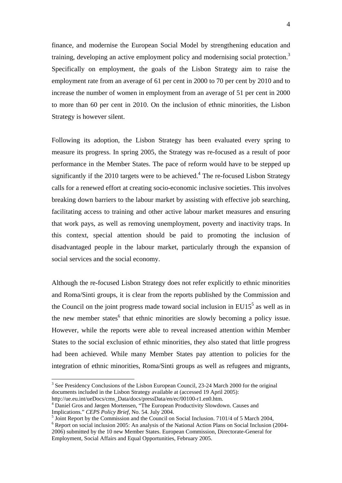finance, and modernise the European Social Model by strengthening education and training, developing an active employment policy and modernising social protection.<sup>3</sup> Specifically on employment, the goals of the Lisbon Strategy aim to raise the employment rate from an average of 61 per cent in 2000 to 70 per cent by 2010 and to increase the number of women in employment from an average of 51 per cent in 2000 to more than 60 per cent in 2010. On the inclusion of ethnic minorities, the Lisbon Strategy is however silent.

Following its adoption, the Lisbon Strategy has been evaluated every spring to measure its progress. In spring 2005, the Strategy was re-focused as a result of poor performance in the Member States. The pace of reform would have to be stepped up significantly if the 2010 targets were to be achieved. $4$  The re-focused Lisbon Strategy calls for a renewed effort at creating socio-economic inclusive societies. This involves breaking down barriers to the labour market by assisting with effective job searching, facilitating access to training and other active labour market measures and ensuring that work pays, as well as removing unemployment, poverty and inactivity traps. In this context, special attention should be paid to promoting the inclusion of disadvantaged people in the labour market, particularly through the expansion of social services and the social economy.

Although the re-focused Lisbon Strategy does not refer explicitly to ethnic minorities and Roma/Sinti groups, it is clear from the reports published by the Commission and the Council on the joint progress made toward social inclusion in  $EU15<sup>5</sup>$  as well as in the new member states<sup>6</sup> that ethnic minorities are slowly becoming a policy issue. However, while the reports were able to reveal increased attention within Member States to the social exclusion of ethnic minorities, they also stated that little progress had been achieved. While many Member States pay attention to policies for the integration of ethnic minorities, Roma/Sinti groups as well as refugees and migrants,

1

<sup>&</sup>lt;sup>3</sup> See Presidency Conclusions of the Lisbon European Council, 23-24 March 2000 for the original documents included in the Lisbon Strategy available at (accessed 19 April 2005): http://ue.eu.int/ueDocs/cms\_Data/docs/pressData/en/ec/00100-r1.en0.htm.

Daniel Gros and Jørgen Mortensen, "The European Productivity Slowdown. Causes and Implications." *CEPS Policy Brief*, No. 54. July 2004.

 $<sup>5</sup>$  Joint Report by the Commission and the Council on Social Inclusion. 7101/4 of 5 March 2004,</sup>

<sup>&</sup>lt;sup>6</sup> Report on social inclusion 2005: An analysis of the National Action Plans on Social Inclusion (2004-2006) submitted by the 10 new Member States. European Commission, Directorate-General for Employment, Social Affairs and Equal Opportunities, February 2005.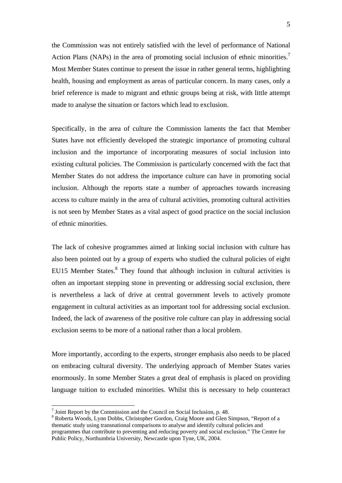the Commission was not entirely satisfied with the level of performance of National Action Plans (NAPs) in the area of promoting social inclusion of ethnic minorities.<sup>7</sup> Most Member States continue to present the issue in rather general terms, highlighting health, housing and employment as areas of particular concern. In many cases, only a brief reference is made to migrant and ethnic groups being at risk, with little attempt made to analyse the situation or factors which lead to exclusion.

Specifically, in the area of culture the Commission laments the fact that Member States have not efficiently developed the strategic importance of promoting cultural inclusion and the importance of incorporating measures of social inclusion into existing cultural policies. The Commission is particularly concerned with the fact that Member States do not address the importance culture can have in promoting social inclusion. Although the reports state a number of approaches towards increasing access to culture mainly in the area of cultural activities, promoting cultural activities is not seen by Member States as a vital aspect of good practice on the social inclusion of ethnic minorities.

The lack of cohesive programmes aimed at linking social inclusion with culture has also been pointed out by a group of experts who studied the cultural policies of eight EU15 Member States.<sup>8</sup> They found that although inclusion in cultural activities is often an important stepping stone in preventing or addressing social exclusion, there is nevertheless a lack of drive at central government levels to actively promote engagement in cultural activities as an important tool for addressing social exclusion. Indeed, the lack of awareness of the positive role culture can play in addressing social exclusion seems to be more of a national rather than a local problem.

More importantly, according to the experts, stronger emphasis also needs to be placed on embracing cultural diversity. The underlying approach of Member States varies enormously. In some Member States a great deal of emphasis is placed on providing language tuition to excluded minorities. Whilst this is necessary to help counteract

<u>.</u>

 $<sup>7</sup>$  Joint Report by the Commission and the Council on Social Inclusion, p. 48.</sup>

<sup>&</sup>lt;sup>8</sup> Roberta Woods, Lynn Dobbs, Christopher Gordon, Craig Moore and Glen Simpson, "Report of a thematic study using transnational comparisons to analyse and identify cultural policies and programmes that contribute to preventing and reducing poverty and social exclusion." The Centre for Public Policy, Northumbria University, Newcastle upon Tyne, UK, 2004.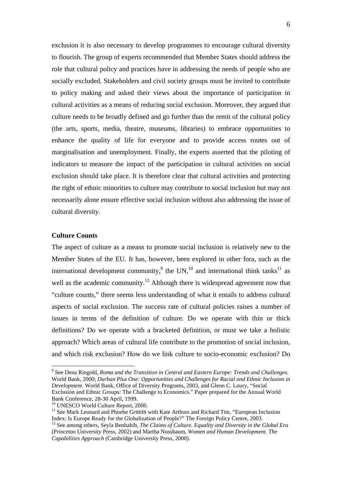exclusion it is also necessary to develop programmes to encourage cultural diversity to flourish. The group of experts recommended that Member States should address the role that cultural policy and practices have in addressing the needs of people who are socially excluded. Stakeholders and civil society groups must be invited to contribute to policy making and asked their views about the importance of participation in cultural activities as a means of reducing social exclusion. Moreover, they argued that culture needs to be broadly defined and go further than the remit of the cultural policy (the arts, sports, media, theatre, museums, libraries) to embrace opportunities to enhance the quality of life for everyone and to provide access routes out of marginalisation and unemployment. Finally, the experts asserted that the piloting of indicators to measure the impact of the participation in cultural activities on social exclusion should take place. It is therefore clear that cultural activities and protecting the right of ethnic minorities to culture may contribute to social inclusion but may not necessarily alone ensure effective social inclusion without also addressing the issue of cultural diversity.

# **Culture Counts**

The aspect of culture as a means to promote social inclusion is relatively new to the Member States of the EU. It has, however, been explored in other fora, such as the international development community,<sup>9</sup> the UN,<sup>10</sup> and international think tanks<sup>11</sup> as well as the academic community.<sup>12</sup> Although there is widespread agreement now that "culture counts," there seems less understanding of what it entails to address cultural aspects of social exclusion. The success rate of cultural policies raises a number of issues in terms of the definition of culture. Do we operate with thin or thick definitions? Do we operate with a bracketed definition, or must we take a holistic approach? Which areas of cultural life contribute to the promotion of social inclusion, and which risk exclusion? How do we link culture to socio-economic exclusion? Do

 9 See Dena Ringold, *Roma and the Transition in Central and Eastern Europe: Trends and Challenges*. World Bank, 2000; *Durban Plus One: Opportunities and Challenges for Racial and Ethnic Inclusion in Development*. World Bank, Office of Diversity Programs, 2003, and Glenn C. Loury, "Social Exclusion and Ethnic Groups: The Challenge to Economics." Paper prepared for the Annual World Bank Conference, 28-30 April, 1999.

<sup>&</sup>lt;sup>10</sup> UNESCO World Culture Report, 2000.

<sup>&</sup>lt;sup>11</sup> See Mark Leonard and Phoebe Grittith with Kate Arthurs and Richard Tite, "European Inclusion Index: Is Europe Ready for the Globalization of People?" The Foreign Policy Centre, 2003.

<sup>&</sup>lt;sup>12</sup> See among others, Seyla Benhabib, *The Claims of Culture. Equality and Diversity in the Global Era* (Princeton University Press, 2002) and Martha Nussbaum, *Women and Human Development. The Capabilities Approach* (Cambridge University Press, 2000).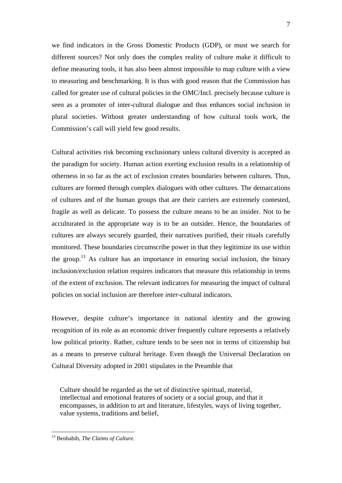we find indicators in the Gross Domestic Products (GDP), or must we search for different sources? Not only does the complex reality of culture make it difficult to define measuring tools, it has also been almost impossible to map culture with a view to measuring and benchmarking. It is thus with good reason that the Commission has called for greater use of cultural policies in the OMC/Incl. precisely because culture is seen as a promoter of inter-cultural dialogue and thus enhances social inclusion in plural societies. Without greater understanding of how cultural tools work, the Commission's call will yield few good results.

Cultural activities risk becoming exclusionary unless cultural diversity is accepted as the paradigm for society. Human action exerting exclusion results in a relationship of otherness in so far as the act of exclusion creates boundaries between cultures. Thus, cultures are formed through complex dialogues with other cultures. The demarcations of cultures and of the human groups that are their carriers are extremely contested, fragile as well as delicate. To possess the culture means to be an insider. Not to be acculturated in the appropriate way is to be an outsider. Hence, the boundaries of cultures are always securely guarded, their narratives purified, their rituals carefully monitored. These boundaries circumscribe power in that they legitimize its use within the group.13 As culture has an importance in ensuring social inclusion, the binary inclusion/exclusion relation requires indicators that measure this relationship in terms of the extent of exclusion. The relevant indicators for measuring the impact of cultural policies on social inclusion are therefore *inter-*cultural indicators.

However, despite culture's importance in national identity and the growing recognition of its role as an economic driver frequently culture represents a relatively low political priority. Rather, culture tends to be seen not in terms of citizenship but as a means to preserve cultural heritage. Even though the Universal Declaration on Cultural Diversity adopted in 2001 stipulates in the Preamble that

Culture should be regarded as the set of distinctive spiritual, material, intellectual and emotional features of society or a social group, and that it encompasses, in addition to art and literature, lifestyles, ways of living together, value systems, traditions and belief,

1

<sup>13</sup> Benhabib, *The Claims of Culture.*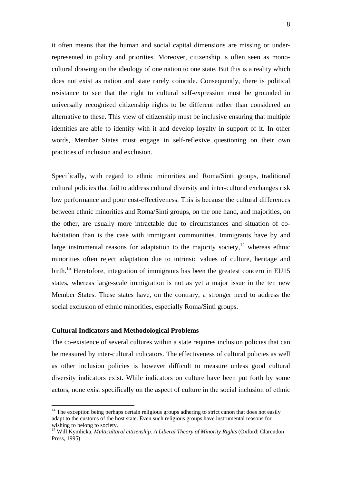it often means that the human and social capital dimensions are missing or underrepresented in policy and priorities. Moreover, citizenship is often seen as monocultural drawing on the ideology of one nation to one state. But this is a reality which does not exist as nation and state rarely coincide. Consequently, there is political resistance to see that the right to cultural self-expression must be grounded in universally recognized citizenship rights to be different rather than considered an alternative to these. This view of citizenship must be inclusive ensuring that multiple identities are able to identity with it and develop loyalty in support of it. In other words, Member States must engage in self-reflexive questioning on their own practices of inclusion and exclusion.

Specifically, with regard to ethnic minorities and Roma/Sinti groups, traditional cultural policies that fail to address cultural diversity and inter-cultural exchanges risk low performance and poor cost-effectiveness. This is because the cultural differences between ethnic minorities and Roma/Sinti groups, on the one hand, and majorities, on the other, are usually more intractable due to circumstances and situation of cohabitation than is the case with immigrant communities. Immigrants have by and large instrumental reasons for adaptation to the majority society, $14$  whereas ethnic minorities often reject adaptation due to intrinsic values of culture, heritage and birth.<sup>15</sup> Heretofore, integration of immigrants has been the greatest concern in EU15 states, whereas large-scale immigration is not as yet a major issue in the ten new Member States. These states have, on the contrary, a stronger need to address the social exclusion of ethnic minorities, especially Roma/Sinti groups.

#### **Cultural Indicators and Methodological Problems**

<u>.</u>

The co-existence of several cultures within a state requires inclusion policies that can be measured by inter-cultural indicators. The effectiveness of cultural policies as well as other inclusion policies is however difficult to measure unless good cultural diversity indicators exist. While indicators on culture have been put forth by some actors, none exist specifically on the aspect of culture in the social inclusion of ethnic

<sup>&</sup>lt;sup>14</sup> The exception being perhaps certain religious groups adhering to strict canon that does not easily adapt to the customs of the host state. Even such religious groups have instrumental reasons for wishing to belong to society.

<sup>15</sup> Will Kymlicka, *Multicultural citizenship. A Liberal Theory of Minority Rights* (Oxford: Clarendon Press, 1995)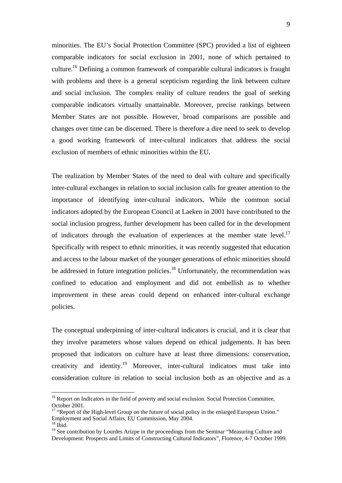minorities. The EU's Social Protection Committee (SPC) provided a list of eighteen comparable indicators for social exclusion in 2001, none of which pertained to culture.16 Defining a common framework of comparable cultural indicators is fraught with problems and there is a general scepticism regarding the link between culture and social inclusion. The complex reality of culture renders the goal of seeking comparable indicators virtually unattainable. Moreover, precise rankings between Member States are not possible. However, broad comparisons are possible and changes over time can be discerned. There is therefore a dire need to seek to develop a good working framework of inter-cultural indicators that address the social exclusion of members of ethnic minorities within the EU.

The realization by Member States of the need to deal with culture and specifically inter-cultural exchanges in relation to social inclusion calls for greater attention to the importance of identifying inter-cultural indicators. While the common social indicators adopted by the European Council at Laeken in 2001 have contributed to the social inclusion progress, further development has been called for in the development of indicators through the evaluation of experiences at the member state level.<sup>17</sup> Specifically with respect to ethnic minorities, it was recently suggested that education and access to the labour market of the younger generations of ethnic minorities should be addressed in future integration policies.<sup>18</sup> Unfortunately, the recommendation was confined to education and employment and did not embellish as to whether improvement in these areas could depend on enhanced inter-cultural exchange policies.

The conceptual underpinning of inter-cultural indicators is crucial, and it is clear that they involve parameters whose values depend on ethical judgements. It has been proposed that indicators on culture have at least three dimensions: conservation, creativity and identity.19 Moreover, inter-cultural indicators must take into consideration culture in relation to social inclusion both as an objective and as a

1

<sup>&</sup>lt;sup>16</sup> Report on Indicators in the field of poverty and social exclusion. Social Protection Committee, October 2001.

<sup>&</sup>lt;sup>17</sup> "Report of the High-level Group on the future of social policy in the enlarged European Union." Employment and Social Affairs, EU Commission, May 2004.  $18$  Ibid.

<sup>&</sup>lt;sup>19</sup> See contribution by Lourdes Arizpe in the proceedings from the Seminar "Measuring Culture and Development: Prospects and Limits of Constructing Cultural Indicators", Florence, 4-7 October 1999.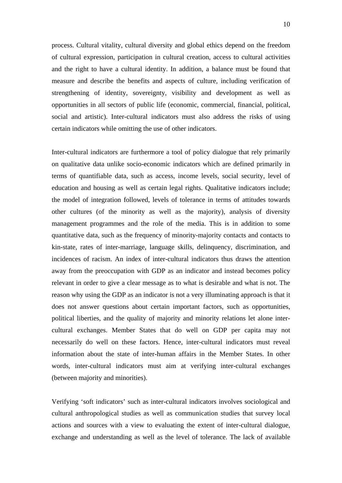process. Cultural vitality, cultural diversity and global ethics depend on the freedom of cultural expression, participation in cultural creation, access to cultural activities and the right to have a cultural identity. In addition, a balance must be found that measure and describe the benefits and aspects of culture, including verification of strengthening of identity, sovereignty, visibility and development as well as opportunities in all sectors of public life (economic, commercial, financial, political, social and artistic). Inter-cultural indicators must also address the risks of using certain indicators while omitting the use of other indicators.

Inter-cultural indicators are furthermore a tool of policy dialogue that rely primarily on qualitative data unlike socio-economic indicators which are defined primarily in terms of quantifiable data, such as access, income levels, social security, level of education and housing as well as certain legal rights. Qualitative indicators include; the model of integration followed, levels of tolerance in terms of attitudes towards other cultures (of the minority as well as the majority), analysis of diversity management programmes and the role of the media. This is in addition to some quantitative data, such as the frequency of minority-majority contacts and contacts to kin-state, rates of inter-marriage, language skills, delinquency, discrimination, and incidences of racism. An index of inter-cultural indicators thus draws the attention away from the preoccupation with GDP as an indicator and instead becomes policy relevant in order to give a clear message as to what is desirable and what is not. The reason why using the GDP as an indicator is not a very illuminating approach is that it does not answer questions about certain important factors, such as opportunities, political liberties, and the quality of majority and minority relations let alone intercultural exchanges. Member States that do well on GDP per capita may not necessarily do well on these factors. Hence, inter-cultural indicators must reveal information about the state of inter-human affairs in the Member States. In other words, inter-cultural indicators must aim at verifying inter-cultural exchanges (between majority and minorities).

Verifying 'soft indicators' such as inter-cultural indicators involves sociological and cultural anthropological studies as well as communication studies that survey local actions and sources with a view to evaluating the extent of inter-cultural dialogue, exchange and understanding as well as the level of tolerance. The lack of available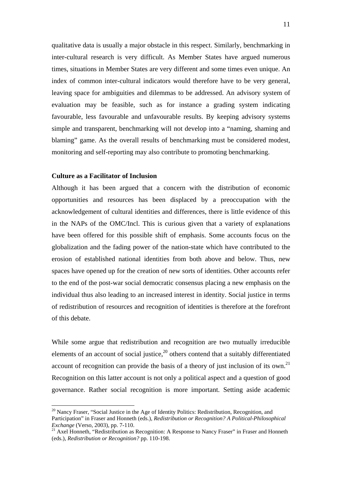qualitative data is usually a major obstacle in this respect. Similarly, benchmarking in inter-cultural research is very difficult. As Member States have argued numerous times, situations in Member States are very different and some times even unique. An index of common inter-cultural indicators would therefore have to be very general, leaving space for ambiguities and dilemmas to be addressed. An advisory system of evaluation may be feasible, such as for instance a grading system indicating favourable, less favourable and unfavourable results. By keeping advisory systems simple and transparent, benchmarking will not develop into a "naming, shaming and blaming" game. As the overall results of benchmarking must be considered modest, monitoring and self-reporting may also contribute to promoting benchmarking.

## **Culture as a Facilitator of Inclusion**

<u>.</u>

Although it has been argued that a concern with the distribution of economic opportunities and resources has been displaced by a preoccupation with the acknowledgement of cultural identities and differences, there is little evidence of this in the NAPs of the OMC/Incl. This is curious given that a variety of explanations have been offered for this possible shift of emphasis. Some accounts focus on the globalization and the fading power of the nation-state which have contributed to the erosion of established national identities from both above and below. Thus, new spaces have opened up for the creation of new sorts of identities. Other accounts refer to the end of the post-war social democratic consensus placing a new emphasis on the individual thus also leading to an increased interest in identity. Social justice in terms of redistribution of resources and recognition of identities is therefore at the forefront of this debate.

While some argue that redistribution and recognition are two mutually irreducible elements of an account of social justice, $2^0$  others contend that a suitably differentiated account of recognition can provide the basis of a theory of just inclusion of its own.<sup>21</sup> Recognition on this latter account is not only a political aspect and a question of good governance. Rather social recognition is more important. Setting aside academic

<sup>&</sup>lt;sup>20</sup> Nancy Fraser, "Social Justice in the Age of Identity Politics: Redistribution, Recognition, and Participation" in Fraser and Honneth (eds.), *Redistribution or Recognition? A Political-Philosophical Exchange* (Verso, 2003), pp. 7-110.<br><sup>21</sup> Axel Honneth, "Redistribution as Recognition: A Response to Nancy Fraser" in Fraser and Honneth

<sup>(</sup>eds.), *Redistribution or Recognition?* pp. 110-198.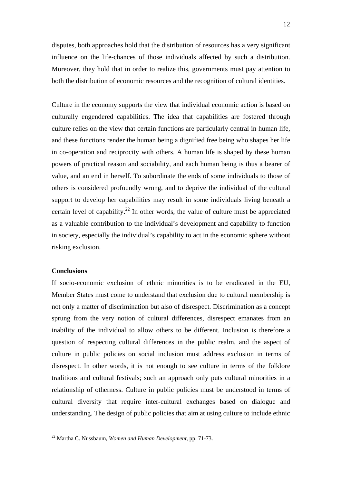disputes, both approaches hold that the distribution of resources has a very significant influence on the life-chances of those individuals affected by such a distribution. Moreover, they hold that in order to realize this, governments must pay attention to both the distribution of economic resources and the recognition of cultural identities.

Culture in the economy supports the view that individual economic action is based on culturally engendered capabilities. The idea that capabilities are fostered through culture relies on the view that certain functions are particularly central in human life, and these functions render the human being a dignified free being who shapes her life in co-operation and reciprocity with others. A human life is shaped by these human powers of practical reason and sociability, and each human being is thus a bearer of value, and an end in herself. To subordinate the ends of some individuals to those of others is considered profoundly wrong, and to deprive the individual of the cultural support to develop her capabilities may result in some individuals living beneath a certain level of capability.<sup>22</sup> In other words, the value of culture must be appreciated as a valuable contribution to the individual's development and capability to function in society, especially the individual's capability to act in the economic sphere without risking exclusion.

#### **Conclusions**

1

If socio-economic exclusion of ethnic minorities is to be eradicated in the EU, Member States must come to understand that exclusion due to cultural membership is not only a matter of discrimination but also of disrespect. Discrimination as a concept sprung from the very notion of cultural differences, disrespect emanates from an inability of the individual to allow others to be different. Inclusion is therefore a question of respecting cultural differences in the public realm, and the aspect of culture in public policies on social inclusion must address exclusion in terms of disrespect. In other words, it is not enough to see culture in terms of the folklore traditions and cultural festivals; such an approach only puts cultural minorities in a relationship of otherness. Culture in public policies must be understood in terms of cultural diversity that require inter-cultural exchanges based on dialogue and understanding. The design of public policies that aim at using culture to include ethnic

<sup>22</sup> Martha C. Nussbaum, *Women and Human Development*, pp. 71-73.